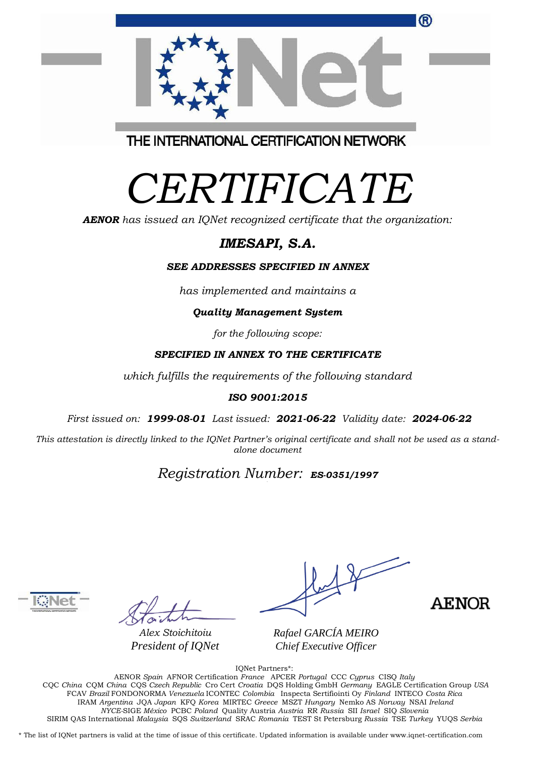| ®                                          |  |
|--------------------------------------------|--|
|                                            |  |
| THE INTERNATIONAL OFBEING ATION NIERAGODIZ |  |

THE INTERNATIONAL CERTIFICATION NETWORK

# *CERTIFICATE*

*AENOR has issued an IQNet recognized certificate that the organization:*

## *IMESAPI, S.A.*

#### *SEE ADDRESSES SPECIFIED IN ANNEX*

*has implemented and maintains a*

#### *Quality Management System*

*for the following scope:* 

#### *SPECIFIED IN ANNEX TO THE CERTIFICATE*

*which fulfills the requirements of the following standard*

#### *ISO 9001:2015*

*First issued on: 1999-08-01 Last issued: 2021-06-22 Validity date: 2024-06-22*

This attestation is directly linked to the IQNet Partner's original certificate and shall not be used as a stand*alone document*

# *Registration Number: ES-0351/1997*



*Alex Stoichitoiu President of IQNet*

*Rafael GARCÍA MEIRO Chief Executive Officer*



IQNet Partners\*:

AENOR *Spain* AFNOR Certification *France* APCER *Portugal* CCC *Cyprus* CISQ *Italy* CQC *China* CQM *China* CQS *Czech Republic* Cro Cert *Croatia* DQS Holding GmbH *Germany* EAGLE Certification Group *USA* FCAV *Brazil* FONDONORMA *Venezuela* ICONTEC *Colombia* Inspecta Sertifiointi Oy *Finland* INTECO *Costa Rica* IRAM *Argentina* JQA *Japan* KFQ *Korea* MIRTEC *Greece* MSZT *Hungary* Nemko AS *Norway* NSAI *Ireland NYCE-*SIGE *México* PCBC *Poland* Quality Austria *Austria* RR *Russia* SII *Israel* SIQ *Slovenia*  SIRIM QAS International *Malaysia* SQS *Switzerland* SRAC *Romania* TEST St Petersburg *Russia* TSE *Turkey* YUQS *Serbia*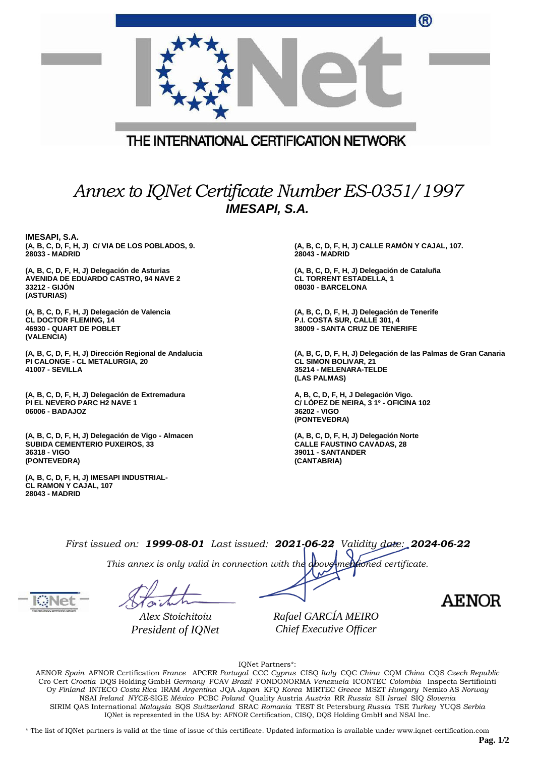|                                                                                                                              | ®                                                                                                                                       |  |  |  |  |
|------------------------------------------------------------------------------------------------------------------------------|-----------------------------------------------------------------------------------------------------------------------------------------|--|--|--|--|
| THE INTERNATIONAL CERTIFICATION NETWORK                                                                                      |                                                                                                                                         |  |  |  |  |
| Annex to IQNet Certificate Number ES-0351/1997<br><b>IMESAPI, S.A.</b>                                                       |                                                                                                                                         |  |  |  |  |
| IMESAPI, S.A.<br>(A, B, C, D, F, H, J) C/ VIA DE LOS POBLADOS, 9.<br>28033 - MADRID                                          | (A, B, C, D, F, H, J) CALLE RAMÓN Y CAJAL, 107.<br>28043 - MADRID                                                                       |  |  |  |  |
| (A, B, C, D, F, H, J) Delegación de Asturias<br><b>AVENIDA DE EDUARDO CASTRO, 94 NAVE 2</b><br>33212 - GIJON<br>(ASTURIAS)   | (A, B, C, D, F, H, J) Delegación de Cataluña<br><b>CL TORRENT ESTADELLA, 1</b><br>08030 - BARCELONA                                     |  |  |  |  |
| (A, B, C, D, F, H, J) Delegación de Valencia<br><b>CL DOCTOR FLEMING, 14</b><br><b>46930 - QUART DE POBLET</b><br>(VALENCIA) | (A, B, C, D, F, H, J) Delegación de Tenerife<br>P.I. COSTA SUR, CALLE 301, 4<br><b>38009 - SANTA CRUZ DE TENERIFE</b>                   |  |  |  |  |
| (A, B, C, D, F, H, J) Dirección Regional de Andalucia<br>PI CALONGE - CL METALURGIA, 20<br>41007 - SEVILLA                   | (A, B, C, D, F, H, J) Delegación de las Palmas de Gran Canaria<br><b>CL SIMON BOLIVAR, 21</b><br>35214 - MELENARA-TELDE<br>(LAS PALMAS) |  |  |  |  |
| (A, B, C, D, F, H, J) Delegación de Extremadura<br><b>PI EL NEVERO PARC H2 NAVE 1</b><br>06006 - BADAJOZ                     | A, B, C, D, F, H, J Delegación Vigo.<br>C/ LÓPEZ DE NEIRA, 3 1º - OFICINA 102<br>36202 - VIGO<br>(PONTEVEDRA)                           |  |  |  |  |
| (A, B, C, D, F, H, J) Delegación de Vigo - Almacen<br><b>SUBIDA CEMENTERIO PUXEIROS, 33</b><br>36318 - VIGO<br>(PONTEVEDRA)  | (A, B, C, D, F, H, J) Delegación Norte<br><b>CALLE FAUSTINO CAVADAS, 28</b><br>39011 - SANTANDER<br>(CANTABRIA)                         |  |  |  |  |
| (A, B, C, D, F, H, J) IMESAPI INDUSTRIAL-<br>CL RAMON Y CAJAL, 107<br>28043 - MADRID                                         |                                                                                                                                         |  |  |  |  |
|                                                                                                                              |                                                                                                                                         |  |  |  |  |

*First issued on: 1999-08-01 Last issued: 2021-06-22 Validity date: 2024-06-22*

*This annex is only valid in connection with the above-mentioned certificate.*

*Alex Stoichitoiu President of IQNet* *Rafael GARCÍA MEIRO Chief Executive Officer*

**AENOR** 

IQNet Partners\*:

AENOR *Spain* AFNOR Certification *France* APCER *Portugal* CCC *Cyprus* CISQ *Italy* CQC *China* CQM *China* CQS *Czech Republic*  Cro Cert *Croatia* DQS Holding GmbH *Germany* FCAV *Brazil* FONDONORMA *Venezuela* ICONTEC *Colombia* Inspecta Sertifiointi Oy *Finland* INTECO *Costa Rica* IRAM *Argentina* JQA *Japan* KFQ *Korea* MIRTEC *Greece* MSZT *Hungary* Nemko AS *Norway*  NSAI *Ireland NYCE-*SIGE *México* PCBC *Poland* Quality Austria *Austria* RR *Russia* SII *Israel* SIQ *Slovenia*  SIRIM QAS International *Malaysia* SQS *Switzerland* SRAC *Romania* TEST St Petersburg *Russia* TSE *Turkey* YUQS *Serbia* IQNet is represented in the USA by: AFNOR Certification, CISQ, DQS Holding GmbH and NSAI Inc.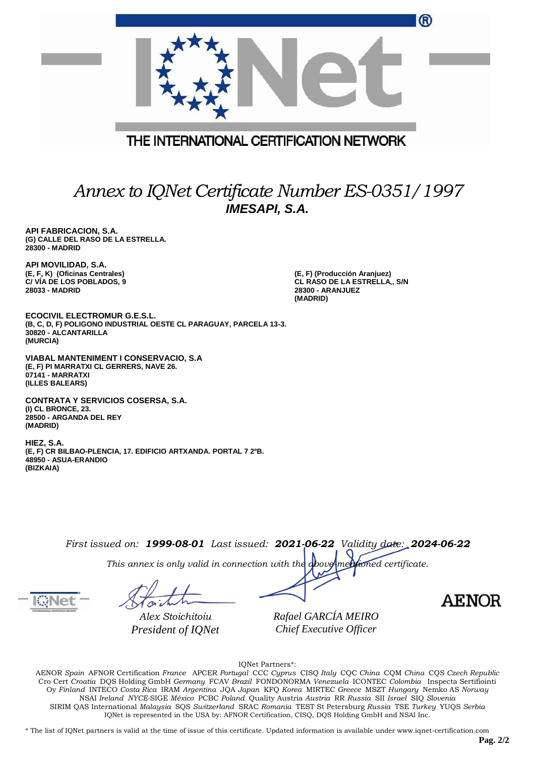|                                                                                                                                              | ®                                                                                                   |  |  |  |  |
|----------------------------------------------------------------------------------------------------------------------------------------------|-----------------------------------------------------------------------------------------------------|--|--|--|--|
| THE INTERNATIONAL CERTIFICATION NETWORK                                                                                                      |                                                                                                     |  |  |  |  |
| Annex to IQNet Certificate Number ES-0351/1997<br><b>IMESAPI, S.A.</b>                                                                       |                                                                                                     |  |  |  |  |
| API FABRICACION, S.A.<br>(G) CALLE DEL RASO DE LA ESTRELLA.<br>28300 - MADRID                                                                |                                                                                                     |  |  |  |  |
| API MOVILIDAD, S.A.<br>(E, F, K) (Oficinas Centrales)<br>C/VIA DE LOS POBLADOS, 9<br>28033 - MADRID                                          | (E, F) (Producción Aranjuez)<br>CL RASO DE LA ESTRELLA,, S/N<br><b>28300 - ARANJUEZ</b><br>(MADRID) |  |  |  |  |
| <b>ECOCIVIL ELECTROMUR G.E.S.L.</b><br>(B, C, D, F) POLIGONO INDUSTRIAL OESTE CL PARAGUAY, PARCELA 13-3.<br>30820 - ALCANTARILLA<br>(MURCIA) |                                                                                                     |  |  |  |  |
| VIABAL MANTENIMENT I CONSERVACIO, S.A.<br>(E, F) PI MARRATXI CL GERRERS, NAVE 26.<br>07141 - MARRATXI<br>(ILLES BALEARS)                     |                                                                                                     |  |  |  |  |
| <b>CONTRATA Y SERVICIOS COSERSA, S.A.</b><br>(I) CL BRONCE, 23.<br>28500 - ARGANDA DEL REY<br>(MADRID)                                       |                                                                                                     |  |  |  |  |
| HIEZ, S.A.<br>(E, F) CR BILBAO-PLENCIA, 17. EDIFICIO ARTXANDA. PORTAL 7 2ºB.<br>48950 - ASUA-ERANDIO<br>(BIZKAIA)                            |                                                                                                     |  |  |  |  |
|                                                                                                                                              |                                                                                                     |  |  |  |  |

*First issued on: 1999-08-01 Last issued: 2021-06-22 Validity date: 2024-06-22*

*This annex is only valid in connection with the above-mentioned certificate.*

*Alex Stoichitoiu President of IQNet* *Rafael GARCÍA MEIRO Chief Executive Officer*

**AENOR** 

IQNet Partners\*:

AENOR *Spain* AFNOR Certification *France* APCER *Portugal* CCC *Cyprus* CISQ *Italy* CQC *China* CQM *China* CQS *Czech Republic*  Cro Cert *Croatia* DQS Holding GmbH *Germany* FCAV *Brazil* FONDONORMA *Venezuela* ICONTEC *Colombia* Inspecta Sertifiointi Oy *Finland* INTECO *Costa Rica* IRAM *Argentina* JQA *Japan* KFQ *Korea* MIRTEC *Greece* MSZT *Hungary* Nemko AS *Norway*  NSAI *Ireland NYCE-*SIGE *México* PCBC *Poland* Quality Austria *Austria* RR *Russia* SII *Israel* SIQ *Slovenia*  SIRIM QAS International *Malaysia* SQS *Switzerland* SRAC *Romania* TEST St Petersburg *Russia* TSE *Turkey* YUQS *Serbia* IQNet is represented in the USA by: AFNOR Certification, CISQ, DQS Holding GmbH and NSAI Inc.